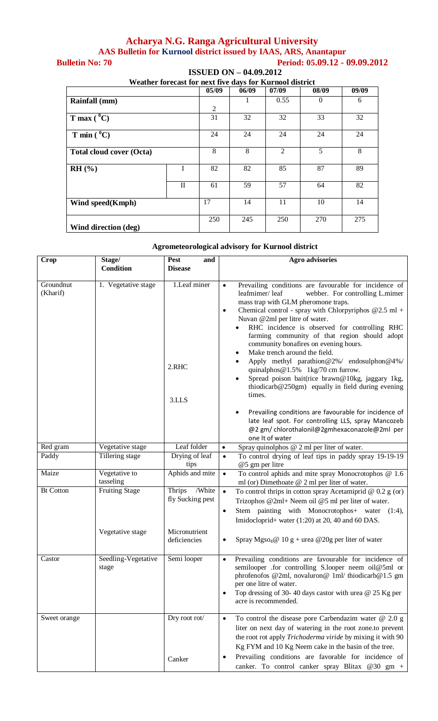## **Acharya N.G. Ranga Agricultural University AAS Bulletin for Kurnool district issued by IAAS, ARS, Anantapur Bulletin No: 70 Period: 05.09.12 - 09.09.2012**

## **ISSUED ON – 04.09.2012**

| 1990ED ON = 04.09.2012<br>Weather forecast for next five days for Kurnool district |          |     |     |                |          |     |  |  |  |  |
|------------------------------------------------------------------------------------|----------|-----|-----|----------------|----------|-----|--|--|--|--|
|                                                                                    |          |     |     |                |          |     |  |  |  |  |
| <b>Rainfall</b> (mm)                                                               |          | 2   |     | 0.55           | $\theta$ | 6   |  |  |  |  |
| T max $(^{0}C)$                                                                    |          | 31  | 32  | 32             | 33       | 32  |  |  |  |  |
| T min $(^{0}\overline{C})$                                                         |          | 24  | 24  | 24             | 24       | 24  |  |  |  |  |
| <b>Total cloud cover (Octa)</b>                                                    |          | 8   | 8   | $\mathfrak{D}$ | 5        | 8   |  |  |  |  |
| $RH$ (%)                                                                           | L        | 82  | 82  | 85             | 87       | 89  |  |  |  |  |
|                                                                                    | $\rm II$ | 61  | 59  | 57             | 64       | 82  |  |  |  |  |
| Wind speed(Kmph)                                                                   |          | 17  | 14  | 11             | 10       | 14  |  |  |  |  |
| Wind direction (deg)                                                               |          | 250 | 245 | 250            | 270      | 275 |  |  |  |  |

## **Agrometeorological advisory for Kurnool district**

| <b>Crop</b>           | Stage/<br><b>Condition</b>   | Pest<br>and<br><b>Disease</b>        | <b>Agro advisories</b>                                                                                                                                                                                                                                                                                                                                                                                                                                                                                                                                                                                                                                                                    |
|-----------------------|------------------------------|--------------------------------------|-------------------------------------------------------------------------------------------------------------------------------------------------------------------------------------------------------------------------------------------------------------------------------------------------------------------------------------------------------------------------------------------------------------------------------------------------------------------------------------------------------------------------------------------------------------------------------------------------------------------------------------------------------------------------------------------|
| Groundnut<br>(Kharif) | 1. Vegetative stage          | 1.Leaf miner<br>2.RHC<br>3.LLS       | Prevailing conditions are favourable for incidence of<br>$\bullet$<br>webber. For controlling L.mimer<br>leafmimer/leaf<br>mass trap with GLM pheromone traps.<br>Chemical control - spray with Chlorpyriphos $@2.5$ ml +<br>$\bullet$<br>Nuvan @2ml per litre of water.<br>RHC incidence is observed for controlling RHC<br>farming community of that region should adopt<br>community bonafires on evening hours.<br>Make trench around the field.<br>٠<br>Apply methyl parathion@2%/ endosulphon@4%/<br>$\bullet$<br>quinalphos@1.5% 1kg/70 cm furrow.<br>Spread poison bait(rice brawn@10kg, jaggary 1kg,<br>$\bullet$<br>thiodicarb@250gm) equally in field during evening<br>times. |
|                       |                              |                                      | Prevailing conditions are favourable for incidence of<br>late leaf spot. For controlling LLS, spray Mancozeb<br>@2 gm/ chlorothalonil@2gmhexaconazole@2ml per<br>one It of water                                                                                                                                                                                                                                                                                                                                                                                                                                                                                                          |
| Red gram              | Vegetative stage             | Leaf folder                          | Spray quinolphos @ 2 ml per liter of water.<br>$\bullet$                                                                                                                                                                                                                                                                                                                                                                                                                                                                                                                                                                                                                                  |
| Paddy                 | Tillering stage              | Drying of leaf<br>tips               | To control drying of leaf tips in paddy spray 19-19-19<br>$\bullet$<br>@5 gm per litre                                                                                                                                                                                                                                                                                                                                                                                                                                                                                                                                                                                                    |
| Maize                 | Vegetative to<br>tasseling   | Aphids and mite                      | To control aphids and mite spray Monocrotophos @ 1.6<br>$\bullet$<br>ml (or) Dimethoate @ 2 ml per liter of water.                                                                                                                                                                                                                                                                                                                                                                                                                                                                                                                                                                        |
| <b>Bt</b> Cotton      | <b>Fruiting Stage</b>        | /White<br>Thrips<br>fly Sucking pest | To control thrips in cotton spray Acetamiprid @ $0.2 g$ (or)<br>$\bullet$<br>Trizophos @2ml+ Neem oil @5 ml per liter of water.<br>Stem painting with Monocrotophos+ water (1:4),<br>$\bullet$<br>Imidocloprid+ water (1:20) at 20, 40 and 60 DAS.                                                                                                                                                                                                                                                                                                                                                                                                                                        |
|                       | Vegetative stage             | Micronutrient<br>deficiencies        | Spray Mgso <sub>4</sub> @ 10 g + urea @20g per liter of water<br>$\bullet$                                                                                                                                                                                                                                                                                                                                                                                                                                                                                                                                                                                                                |
| Castor                | Seedling-Vegetative<br>stage | Semi looper                          | Prevailing conditions are favourable for incidence of<br>semilooper .for controlling S.looper neem oil@5ml or<br>phrofenofos @2ml, novaluron@ 1ml/ thiodicarb@1.5 gm<br>per one litre of water.<br>Top dressing of 30-40 days castor with urea @ 25 Kg per<br>$\bullet$<br>acre is recommended.                                                                                                                                                                                                                                                                                                                                                                                           |
| Sweet orange          |                              | Dry root rot/                        | To control the disease pore Carbendazim water $@ 2.0 g$<br>$\bullet$<br>liter on next day of watering in the root zone.to prevent<br>the root rot apply Trichoderma viride by mixing it with 90<br>Kg FYM and 10 Kg Neem cake in the basin of the tree.                                                                                                                                                                                                                                                                                                                                                                                                                                   |
|                       |                              | Canker                               | Prevailing conditions are favorable for incidence of<br>canker. To control canker spray Blitax @30 gm +                                                                                                                                                                                                                                                                                                                                                                                                                                                                                                                                                                                   |